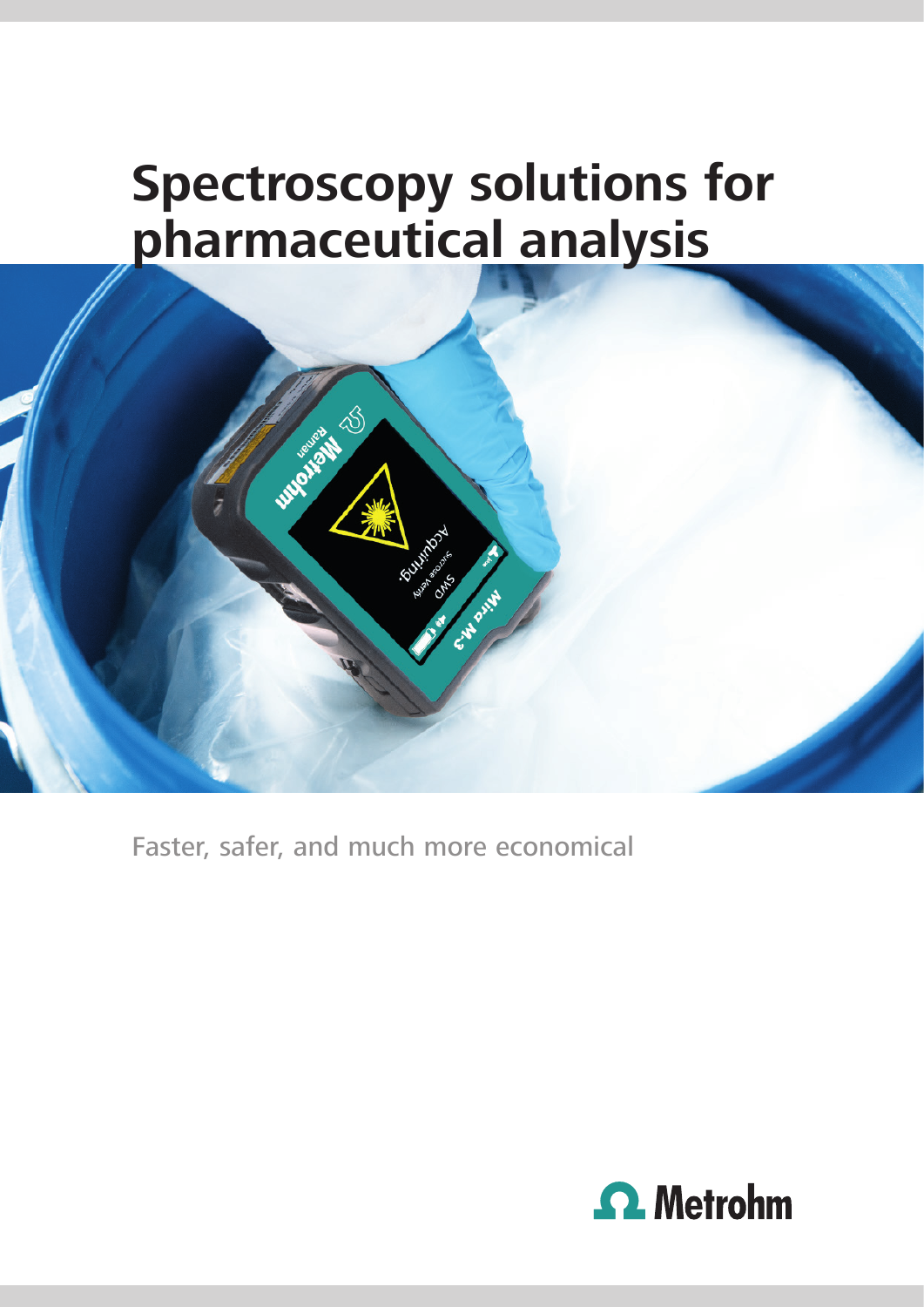# **Spectroscopy solutions for pharmaceutical analysis**

**Monday** 

Faster, safer, and much more economical

**ANTIQUES AND SCRIPTION** 

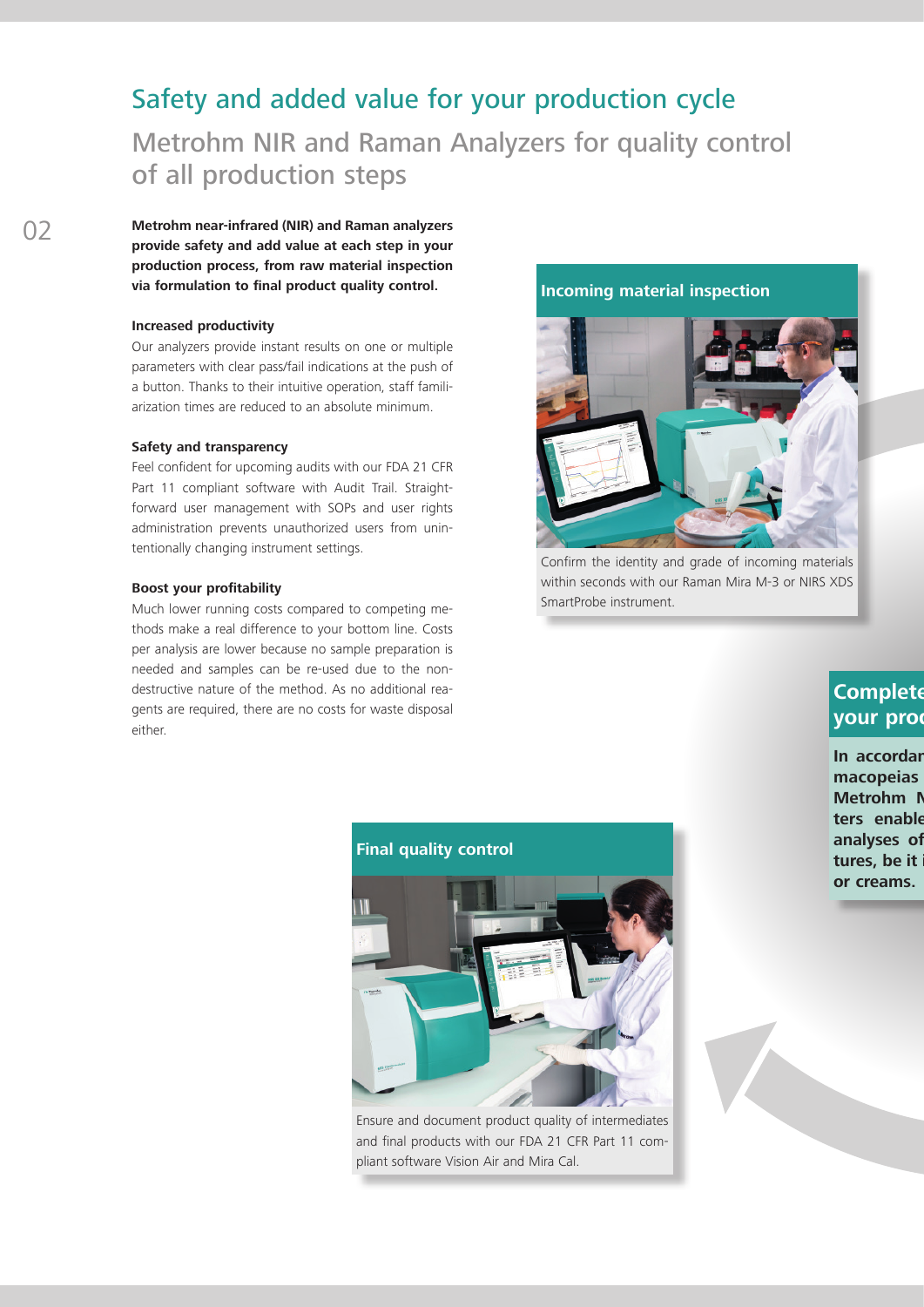# Safety and added value for your production cycle

Metrohm NIR and Raman Analyzers for quality control of all production steps

02 **Metrohm near-infrared (NIR) and Raman analyzers provide safety and add value at each step in your production process, from raw material inspection via formulation to final product quality control.** 

#### **Increased productivity**

Our analyzers provide instant results on one or multiple parameters with clear pass/fail indications at the push of a button. Thanks to their intuitive operation, staff familiarization times are reduced to an absolute minimum.

#### **Safety and transparency**

Feel confident for upcoming audits with our FDA 21 CFR Part 11 compliant software with Audit Trail. Straightforward user management with SOPs and user rights administration prevents unauthorized users from unintentionally changing instrument settings.

#### **Boost your profitability**

Much lower running costs compared to competing methods make a real difference to your bottom line. Costs per analysis are lower because no sample preparation is needed and samples can be re-used due to the nondestructive nature of the method. As no additional reagents are required, there are no costs for waste disposal either.



Confirm the identity and grade of incoming materials within seconds with our Raman Mira M-3 or NIRS XDS SmartProbe instrument.

### **Complete your prod**

**In accordar** macopeias **Metrohm N** ters enable analyses of tures, be it **or creams.**

#### **Final quality control**



Ensure and document product quality of intermediates and final products with our FDA 21 CFR Part 11 compliant software Vision Air and Mira Cal.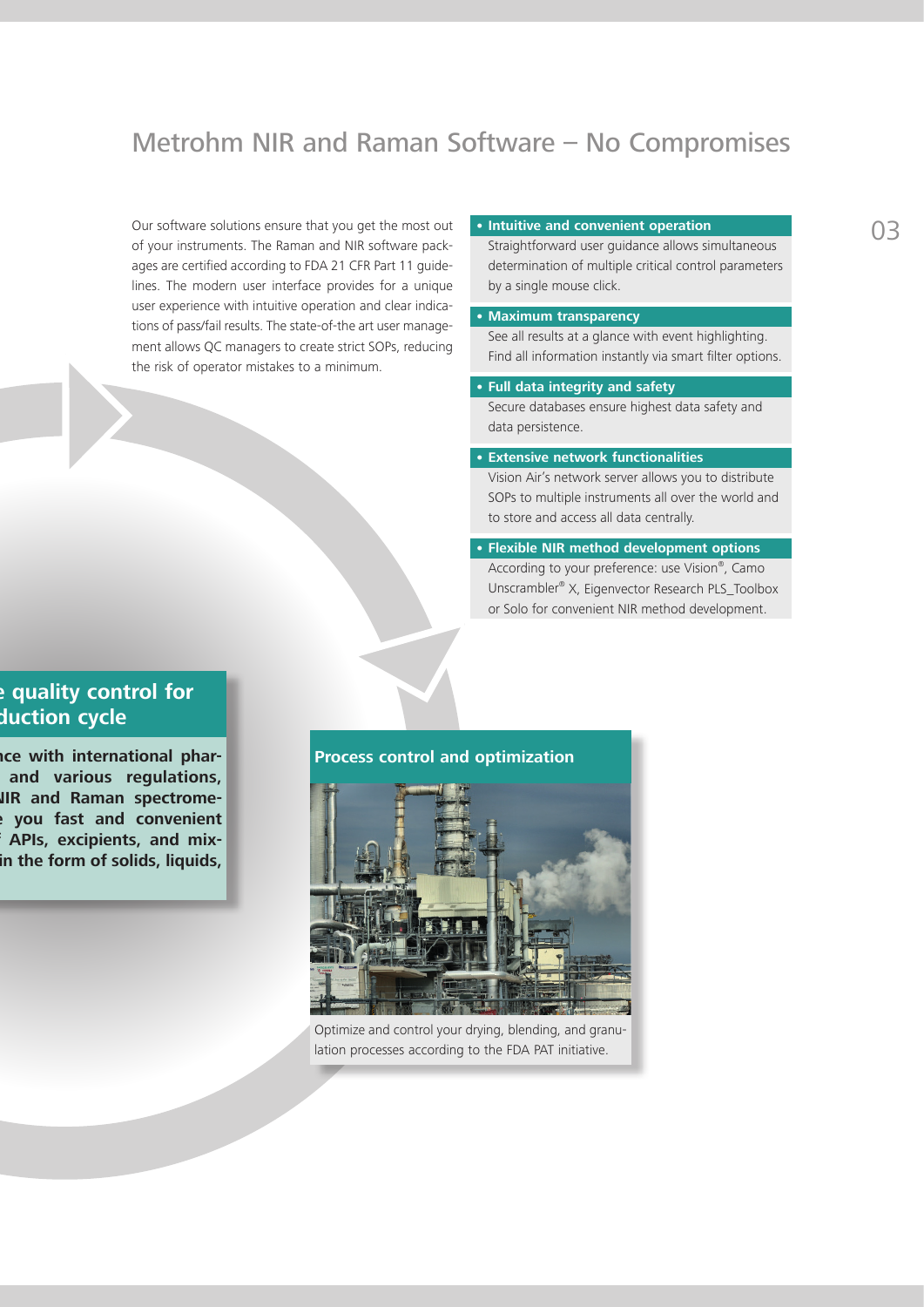# Metrohm NIR and Raman Software – No Compromises

Our software solutions ensure that you get the most out of your instruments. The Raman and NIR software packages are certified according to FDA 21 CFR Part 11 guidelines. The modern user interface provides for a unique user experience with intuitive operation and clear indications of pass/fail results. The state-of-the art user management allows QC managers to create strict SOPs, reducing the risk of operator mistakes to a minimum.

#### • **Intuitive and convenient operation**

Straightforward user guidance allows simultaneous determination of multiple critical control parameters by a single mouse click.

#### • **Maximum transparency**

See all results at a glance with event highlighting. Find all information instantly via smart filter options.

#### • **Full data integrity and safety**

Secure databases ensure highest data safety and data persistence.

#### • **Extensive network functionalities**

Vision Air's network server allows you to distribute SOPs to multiple instruments all over the world and to store and access all data centrally.

### • **Flexible NIR method development options**

According to your preference: use Vision®, Camo Unscrambler® X, Eigenvector Research PLS\_Toolbox or Solo for convenient NIR method development.

### **Proplemental for** *quality* **control for duction cycle**

**Ice with international phar**and various regulations, **JIR and Raman spectrometers enable you fast and convenient**  APIs, excipients, and mix**the form of solids, liquids,** 

#### **Process control and optimization**



Optimize and control your drying, blending, and granulation processes according to the FDA PAT initiative.